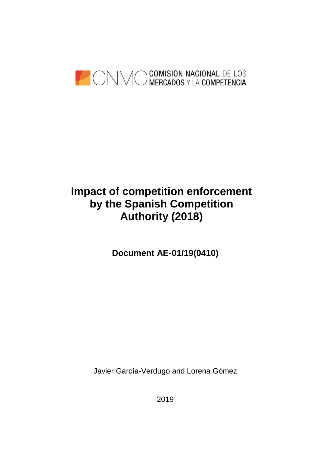

# **Impact of competition enforcement by the Spanish Competition Authority (2018)**

**Document AE-01/19(0410)**

Javier García-Verdugo and Lorena Gómez

2019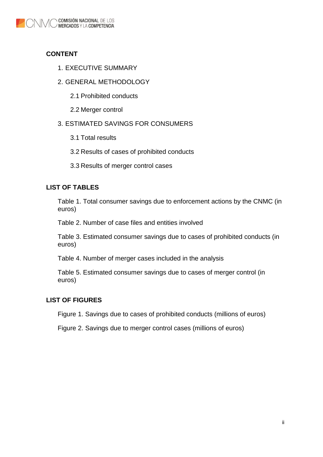

## **CONTENT**

- 1. [EXECUTIVE SUMMARY](#page-2-0)
- 2. [GENERAL METHODOLOGY](#page-3-0)
	- 2.1 Prohibited conducts
	- 2.2 [Merger](#page-5-0) control

#### 3. [ESTIMATED SAVINGS FOR CONSUMERS](#page-5-1)

- 3.1 [Total results](#page-5-2)
- 3.2 [Results of cases of prohibited conducts](#page-7-0)
- 3.3 [Results of merger control cases](#page-9-0)

#### **LIST OF TABLES**

[Table 1. Total consumer savings due to enforcement actions by the CNMC \(in](#page-6-0)  [euros\)](#page-6-0)

[Table 2. Number of case files and entities involved](#page-7-1)

[Table 3. Estimated consumer savings due to cases of prohibited conducts \(in](#page-8-0)  [euros\)](#page-8-0)

[Table 4. Number of merger cases included in the analysis](#page-10-0)

[Table 5. Estimated consumer savings due to cases of merger control \(in](#page-10-1)  [euros\)](#page-10-1)

#### **LIST OF FIGURES**

[Figure 1. Savings due to cases of prohibited conducts \(millions of euros\)](#page-9-1)

Figure 2. Savings [due to merger control cases \(millions of euros\)](#page-11-0)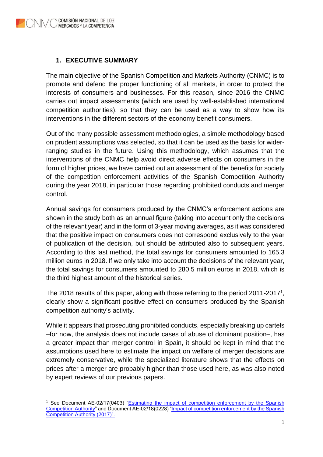#### <span id="page-2-0"></span>**1. EXECUTIVE SUMMARY**

The main objective of the Spanish Competition and Markets Authority (CNMC) is to promote and defend the proper functioning of all markets, in order to protect the interests of consumers and businesses. For this reason, since 2016 the CNMC carries out impact assessments (which are used by well-established international competition authorities), so that they can be used as a way to show how its interventions in the different sectors of the economy benefit consumers.

Out of the many possible assessment methodologies, a simple methodology based on prudent assumptions was selected, so that it can be used as the basis for widerranging studies in the future. Using this methodology, which assumes that the interventions of the CNMC help avoid direct adverse effects on consumers in the form of higher prices, we have carried out an assessment of the benefits for society of the competition enforcement activities of the Spanish Competition Authority during the year 2018, in particular those regarding prohibited conducts and merger control.

Annual savings for consumers produced by the CNMC's enforcement actions are shown in the study both as an annual figure (taking into account only the decisions of the relevant year) and in the form of 3-year moving averages, as it was considered that the positive impact on consumers does not correspond exclusively to the year of publication of the decision, but should be attributed also to subsequent years. According to this last method, the total savings for consumers amounted to 165.3 million euros in 2018. If we only take into account the decisions of the relevant year, the total savings for consumers amounted to 280.5 million euros in 2018, which is the third highest amount of the historical series.

The 2018 results of this paper, along with those referring to the period 2011-2017<sup>1</sup>, clearly show a significant positive effect on consumers produced by the Spanish competition authority's activity.

While it appears that prosecuting prohibited conducts, especially breaking up cartels –for now, the analysis does not include cases of abuse of dominant position–, has a greater impact than merger control in Spain, it should be kept in mind that the assumptions used here to estimate the impact on welfare of merger decisions are extremely conservative, while the specialized literature shows that the effects on prices after a merger are probably higher than those used here, as was also noted by expert reviews of our previous papers.

<sup>1</sup> <sup>1</sup> See Document AE-02/17(0403) "Estimating the impact of competition enforcement by the Spanish [Competition Authority"](https://www.cnmc.es/sites/default/files/editor_contenidos/CNMC/DocumentosReferencia/Garc%C3%ADa%20Verdugo%2C%20J.%2C%20G%C3%B3mez%2C%20L.%20y%20Ayuso%2C%20E.%20(2017)%20-%20Estimating%20the%20impact%20of%20competition%20enforcement%20by%20the%20Spanish%20Competition%20Authority.pdf) and Document AE-02/18(0228) ["Impact of competition enforcement by the Spanish](https://www.cnmc.es/sites/default/files/editor_contenidos/CNMC/DocumentosReferencia/AE-02_18(0228)_eng%20-%20Impact%20of%20CNMC%20competition%20enforcent%20(2017)_final.pdf)  [Competition Authority \(2017\)".](https://www.cnmc.es/sites/default/files/editor_contenidos/CNMC/DocumentosReferencia/AE-02_18(0228)_eng%20-%20Impact%20of%20CNMC%20competition%20enforcent%20(2017)_final.pdf)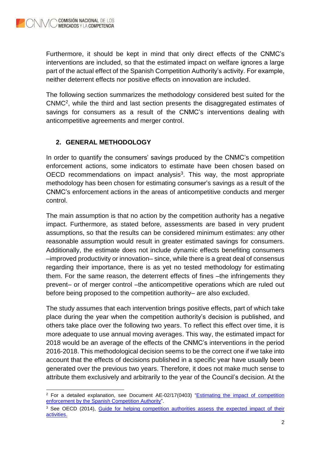-

Furthermore, it should be kept in mind that only direct effects of the CNMC's interventions are included, so that the estimated impact on welfare ignores a large part of the actual effect of the Spanish Competition Authority's activity. For example, neither deterrent effects nor positive effects on innovation are included.

The following section summarizes the methodology considered best suited for the CNMC<sup>2</sup> , while the third and last section presents the disaggregated estimates of savings for consumers as a result of the CNMC's interventions dealing with anticompetitive agreements and merger control.

# <span id="page-3-0"></span>**2. GENERAL METHODOLOGY**

In order to quantify the consumers' savings produced by the CNMC's competition enforcement actions, some indicators to estimate have been chosen based on OECD recommendations on impact analysis $3$ . This way, the most appropriate methodology has been chosen for estimating consumer's savings as a result of the CNMC's enforcement actions in the areas of anticompetitive conducts and merger control.

The main assumption is that no action by the competition authority has a negative impact. Furthermore, as stated before, assessments are based in very prudent assumptions, so that the results can be considered minimum estimates: any other reasonable assumption would result in greater estimated savings for consumers. Additionally, the estimate does not include dynamic effects benefiting consumers –improved productivity or innovation– since, while there is a great deal of consensus regarding their importance, there is as yet no tested methodology for estimating them. For the same reason, the deterrent effects of fines –the infringements they prevent– or of merger control –the anticompetitive operations which are ruled out before being proposed to the competition authority– are also excluded.

The study assumes that each intervention brings positive effects, part of which take place during the year when the competition authority's decision is published, and others take place over the following two years. To reflect this effect over time, it is more adequate to use annual moving averages. This way, the estimated impact for 2018 would be an average of the effects of the CNMC's interventions in the period 2016-2018. This methodological decision seems to be the correct one if we take into account that the effects of decisions published in a specific year have usually been generated over the previous two years. Therefore, it does not make much sense to attribute them exclusively and arbitrarily to the year of the Council's decision. At the

<sup>&</sup>lt;sup>2</sup> For a detailed explanation, see Document AE-02/17(0403) "*Estimating the impact of competition* [enforcement by the Spanish Competition Authority"](https://www.cnmc.es/sites/default/files/editor_contenidos/CNMC/DocumentosReferencia/Garc%C3%ADa%20Verdugo%2C%20J.%2C%20G%C3%B3mez%2C%20L.%20y%20Ayuso%2C%20E.%20(2017)%20-%20Estimating%20the%20impact%20of%20competition%20enforcement%20by%20the%20Spanish%20Competition%20Authority.pdf).

<sup>&</sup>lt;sup>3</sup> See OECD (2014), Guide for helping competition authorities assess the expected impact of their [activities.](https://www.oecd.org/daf/competition/Guide-competition-impact-assessmentEN.pdf)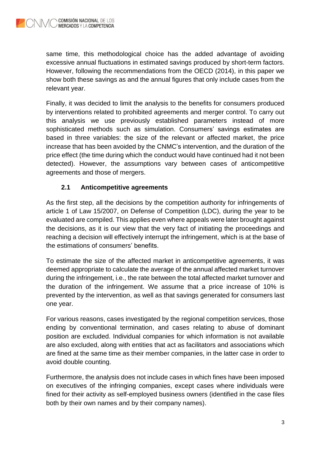same time, this methodological choice has the added advantage of avoiding excessive annual fluctuations in estimated savings produced by short-term factors. However, following the recommendations from the OECD (2014), in this paper we show both these savings as and the annual figures that only include cases from the relevant year.

Finally, it was decided to limit the analysis to the benefits for consumers produced by interventions related to prohibited agreements and merger control. To carry out this analysis we use previously established parameters instead of more sophisticated methods such as simulation. Consumers' savings estimates are based in three variables: the size of the relevant or affected market, the price increase that has been avoided by the CNMC's intervention, and the duration of the price effect (the time during which the conduct would have continued had it not been detected). However, the assumptions vary between cases of anticompetitive agreements and those of mergers.

# **2.1 Anticompetitive agreements**

As the first step, all the decisions by the competition authority for infringements of article 1 of Law 15/2007, on Defense of Competition (LDC), during the year to be evaluated are compiled. This applies even where appeals were later brought against the decisions, as it is our view that the very fact of initiating the proceedings and reaching a decision will effectively interrupt the infringement, which is at the base of the estimations of consumers' benefits.

To estimate the size of the affected market in anticompetitive agreements, it was deemed appropriate to calculate the average of the annual affected market turnover during the infringement, i.e., the rate between the total affected market turnover and the duration of the infringement. We assume that a price increase of 10% is prevented by the intervention, as well as that savings generated for consumers last one year.

For various reasons, cases investigated by the regional competition services, those ending by conventional termination, and cases relating to abuse of dominant position are excluded. Individual companies for which information is not available are also excluded, along with entities that act as facilitators and associations which are fined at the same time as their member companies, in the latter case in order to avoid double counting.

Furthermore, the analysis does not include cases in which fines have been imposed on executives of the infringing companies, except cases where individuals were fined for their activity as self-employed business owners (identified in the case files both by their own names and by their company names).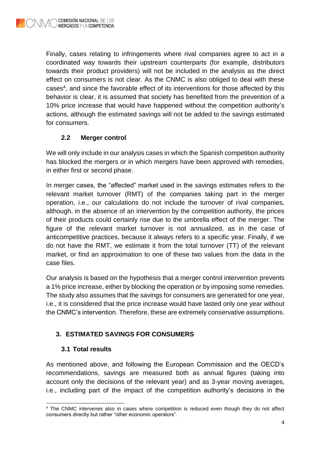Finally, cases relating to infringements where rival companies agree to act in a coordinated way towards their upstream counterparts (for example, distributors towards their product providers) will not be included in the analysis as the direct effect on consumers is not clear. As the CNMC is also obliged to deal with these cases<sup>4</sup>, and since the favorable effect of its interventions for those affected by this behavior is clear, it is assumed that society has benefited from the prevention of a 10% price increase that would have happened without the competition authority's actions, although the estimated savings will not be added to the savings estimated for consumers.

## **2.2 Merger control**

<span id="page-5-0"></span>We will only include in our analysis cases in which the Spanish competition authority has blocked the mergers or in which mergers have been approved with remedies, in either first or second phase.

In merger cases, the "affected" market used in the savings estimates refers to the relevant market turnover (RMT) of the companies taking part in the merger operation, i.e., our calculations do not include the turnover of rival companies, although, in the absence of an intervention by the competition authority, the prices of their products could certainly rise due to the umbrella effect of the merger. The figure of the relevant market turnover is not annualized, as in the case of anticompetitive practices, because it always refers to a specific year. Finally, if we do not have the RMT, we estimate it from the total turnover (TT) of the relevant market, or find an approximation to one of these two values from the data in the case files.

Our analysis is based on the hypothesis that a merger control intervention prevents a 1% price increase, either by blocking the operation or by imposing some remedies. The study also assumes that the savings for consumers are generated for one year, i.e., it is considered that the price increase would have lasted only one year without the CNMC's intervention. Therefore, these are extremely conservative assumptions.

# <span id="page-5-1"></span>**3. ESTIMATED SAVINGS FOR CONSUMERS**

## <span id="page-5-2"></span>**3.1 Total results**

As mentioned above, and following the European Commission and the OECD's recommendations, savings are measured both as annual figures (taking into account only the decisions of the relevant year) and as 3-year moving averages, i.e., including part of the impact of the competition authority's decisions in the

 $\overline{a}$ <sup>4</sup> The CNMC intervenes also in cases where competition is reduced even though they do not affect consumers directly but rather "other economic operators".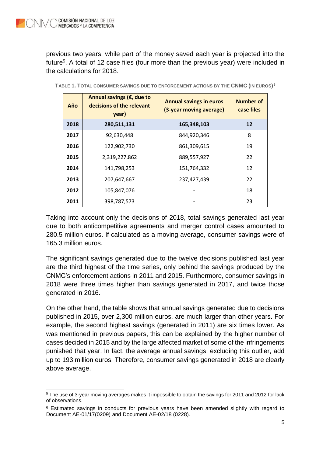1

previous two years, while part of the money saved each year is projected into the future<sup>5</sup>. A total of 12 case files (four more than the previous year) were included in the calculations for 2018.

| Año  | Annual savings ( $\epsilon$ , due to<br>decisions of the relevant<br>year) | <b>Annual savings in euros</b><br>(3-year moving average) | <b>Number of</b><br>case files |
|------|----------------------------------------------------------------------------|-----------------------------------------------------------|--------------------------------|
| 2018 | 280,511,131                                                                | 165,348,103                                               | 12                             |
| 2017 | 92,630,448                                                                 | 844,920,346                                               | 8                              |
| 2016 | 122,902,730                                                                | 861,309,615                                               | 19                             |
| 2015 | 2,319,227,862                                                              | 889,557,927                                               | 22                             |
| 2014 | 141,798,253                                                                | 151,764,332                                               | 12                             |
| 2013 | 207,647,667                                                                | 237,427,439                                               | 22                             |
| 2012 | 105,847,076                                                                |                                                           | 18                             |
| 2011 | 398,787,573                                                                |                                                           | 23                             |

<span id="page-6-0"></span>

| TABLE 1. TOTAL CONSUMER SAVINGS DUE TO ENFORCEMENT ACTIONS BY THE CNMC (IN EUROS) <sup>6</sup> |
|------------------------------------------------------------------------------------------------|
|------------------------------------------------------------------------------------------------|

Taking into account only the decisions of 2018, total savings generated last year due to both anticompetitive agreements and merger control cases amounted to 280.5 million euros. If calculated as a moving average, consumer savings were of 165.3 million euros.

The significant savings generated due to the twelve decisions published last year are the third highest of the time series, only behind the savings produced by the CNMC's enforcement actions in 2011 and 2015. Furthermore, consumer savings in 2018 were three times higher than savings generated in 2017, and twice those generated in 2016.

On the other hand, the table shows that annual savings generated due to decisions published in 2015, over 2,300 million euros, are much larger than other years. For example, the second highest savings (generated in 2011) are six times lower. As was mentioned in previous papers, this can be explained by the higher number of cases decided in 2015 and by the large affected market of some of the infringements punished that year. In fact, the average annual savings, excluding this outlier, add up to 193 million euros. Therefore, consumer savings generated in 2018 are clearly above average.

<sup>5</sup> The use of 3-year moving averages makes it impossible to obtain the savings for 2011 and 2012 for lack of observations.

<sup>6</sup> Estimated savings in conducts for previous years have been amended slightly with regard to Document AE-01/17(0209) and Document AE-02/18 (0228).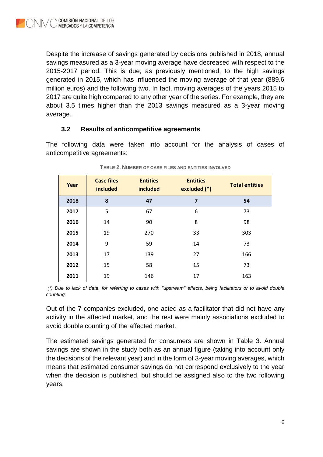Despite the increase of savings generated by decisions published in 2018, annual savings measured as a 3-year moving average have decreased with respect to the 2015-2017 period. This is due, as previously mentioned, to the high savings generated in 2015, which has influenced the moving average of that year (889.6 million euros) and the following two. In fact, moving averages of the years 2015 to 2017 are quite high compared to any other year of the series. For example, they are about 3.5 times higher than the 2013 savings measured as a 3-year moving average.

## **3.2 Results of anticompetitive agreements**

<span id="page-7-0"></span>The following data were taken into account for the analysis of cases of anticompetitive agreements:

<span id="page-7-1"></span>

| Year | <b>Case files</b><br>included | <b>Entities</b><br>included | <b>Entities</b><br>excluded (*) | <b>Total entities</b> |
|------|-------------------------------|-----------------------------|---------------------------------|-----------------------|
| 2018 | 8                             | 47                          | $\overline{7}$                  | 54                    |
| 2017 | 5                             | 67                          | 6                               | 73                    |
| 2016 | 14                            | 90                          | 8                               | 98                    |
| 2015 | 19                            | 270                         | 33                              | 303                   |
| 2014 | 9                             | 59                          | 14                              | 73                    |
| 2013 | 17                            | 139                         | 27                              | 166                   |
| 2012 | 15                            | 58                          | 15                              | 73                    |
| 2011 | 19                            | 146                         | 17                              | 163                   |

**TABLE 2. NUMBER OF CASE FILES AND ENTITIES INVOLVED**

*(\*) Due to lack of data, for referring to cases with "upstream" effects, being facilitators or to avoid double counting.*

Out of the 7 companies excluded, one acted as a facilitator that did not have any activity in the affected market, and the rest were mainly associations excluded to avoid double counting of the affected market.

The estimated savings generated for consumers are shown in Table 3. Annual savings are shown in the study both as an annual figure (taking into account only the decisions of the relevant year) and in the form of 3-year moving averages, which means that estimated consumer savings do not correspond exclusively to the year when the decision is published, but should be assigned also to the two following years.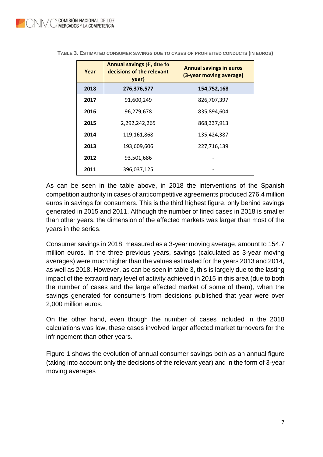| Year | Annual savings ( $\epsilon$ , due to<br>decisions of the relevant<br>year) | <b>Annual savings in euros</b><br>(3-year moving average) |
|------|----------------------------------------------------------------------------|-----------------------------------------------------------|
| 2018 | 276,376,577                                                                | 154,752,168                                               |
| 2017 | 91,600,249                                                                 | 826,707,397                                               |
| 2016 | 96,279,678                                                                 | 835,894,604                                               |
| 2015 | 2,292,242,265                                                              | 868,337,913                                               |
| 2014 | 119,161,868                                                                | 135,424,387                                               |
| 2013 | 193,609,606                                                                | 227,716,139                                               |
| 2012 | 93,501,686                                                                 |                                                           |
| 2011 | 396,037,125                                                                |                                                           |

<span id="page-8-0"></span>**TABLE 3. ESTIMATED CONSUMER SAVINGS DUE TO CASES OF PROHIBITED CONDUCTS (IN EUROS)**

As can be seen in the table above, in 2018 the interventions of the Spanish competition authority in cases of anticompetitive agreements produced 276.4 million euros in savings for consumers. This is the third highest figure, only behind savings generated in 2015 and 2011. Although the number of fined cases in 2018 is smaller than other years, the dimension of the affected markets was larger than most of the years in the series.

Consumer savings in 2018, measured as a 3-year moving average, amount to 154.7 million euros. In the three previous years, savings (calculated as 3-year moving averages) were much higher than the values estimated for the years 2013 and 2014, as well as 2018. However, as can be seen in table 3, this is largely due to the lasting impact of the extraordinary level of activity achieved in 2015 in this area (due to both the number of cases and the large affected market of some of them), when the savings generated for consumers from decisions published that year were over 2,000 million euros.

On the other hand, even though the number of cases included in the 2018 calculations was low, these cases involved larger affected market turnovers for the infringement than other years.

Figure 1 shows the evolution of annual consumer savings both as an annual figure (taking into account only the decisions of the relevant year) and in the form of 3-year moving averages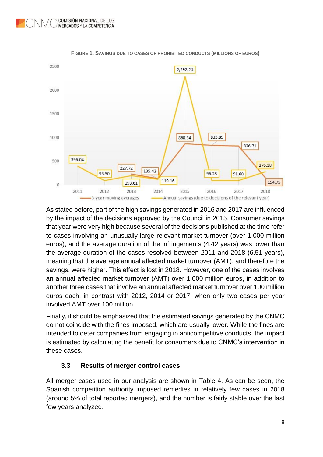<span id="page-9-1"></span>



As stated before, part of the high savings generated in 2016 and 2017 are influenced by the impact of the decisions approved by the Council in 2015. Consumer savings that year were very high because several of the decisions published at the time refer to cases involving an unusually large relevant market turnover (over 1,000 million euros), and the average duration of the infringements (4.42 years) was lower than the average duration of the cases resolved between 2011 and 2018 (6.51 years), meaning that the average annual affected market turnover (AMT), and therefore the savings, were higher. This effect is lost in 2018. However, one of the cases involves an annual affected market turnover (AMT) over 1,000 million euros, in addition to another three cases that involve an annual affected market turnover over 100 million euros each, in contrast with 2012, 2014 or 2017, when only two cases per year involved AMT over 100 million.

Finally, it should be emphasized that the estimated savings generated by the CNMC do not coincide with the fines imposed, which are usually lower. While the fines are intended to deter companies from engaging in anticompetitive conducts, the impact is estimated by calculating the benefit for consumers due to CNMC's intervention in these cases.

# **3.3 Results of merger control cases**

<span id="page-9-0"></span>All merger cases used in our analysis are shown in Table 4. As can be seen, the Spanish competition authority imposed remedies in relatively few cases in 2018 (around 5% of total reported mergers), and the number is fairly stable over the last few years analyzed.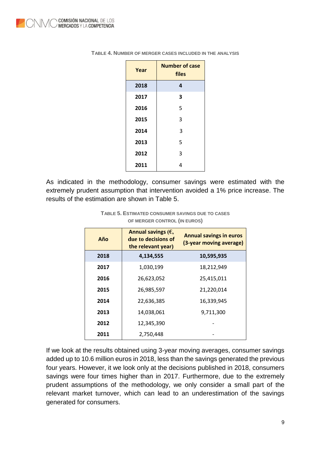| Year | <b>Number of case</b><br>files |
|------|--------------------------------|
| 2018 | 4                              |
| 2017 | 3                              |
| 2016 | 5                              |
| 2015 | 3                              |
| 2014 | 3                              |
| 2013 | 5                              |
| 2012 | 3                              |
| 2011 | 4                              |

<span id="page-10-0"></span>

| TABLE 4. NUMBER OF MERGER CASES INCLUDED IN THE ANALYSIS |
|----------------------------------------------------------|
|----------------------------------------------------------|

<span id="page-10-1"></span>As indicated in the methodology, consumer savings were estimated with the extremely prudent assumption that intervention avoided a 1% price increase. The results of the estimation are shown in Table 5.

| Año  | Annual savings $(\epsilon,$<br>due to decisions of | <b>Annual savings in euros</b><br>(3-year moving average) |
|------|----------------------------------------------------|-----------------------------------------------------------|
|      | the relevant year)                                 |                                                           |
| 2018 | 4,134,555                                          | 10,595,935                                                |
| 2017 | 1,030,199                                          | 18,212,949                                                |
| 2016 | 26,623,052                                         | 25,415,011                                                |
| 2015 | 26,985,597                                         | 21,220,014                                                |
| 2014 | 22,636,385                                         | 16,339,945                                                |
| 2013 | 14,038,061                                         | 9,711,300                                                 |
| 2012 | 12,345,390                                         |                                                           |
| 2011 | 2,750,448                                          |                                                           |

**TABLE 5. ESTIMATED CONSUMER SAVINGS DUE TO CASES OF MERGER CONTROL (IN EUROS)**

If we look at the results obtained using 3-year moving averages, consumer savings added up to 10.6 million euros in 2018, less than the savings generated the previous four years. However, it we look only at the decisions published in 2018, consumers savings were four times higher than in 2017. Furthermore, due to the extremely prudent assumptions of the methodology, we only consider a small part of the relevant market turnover, which can lead to an underestimation of the savings generated for consumers.